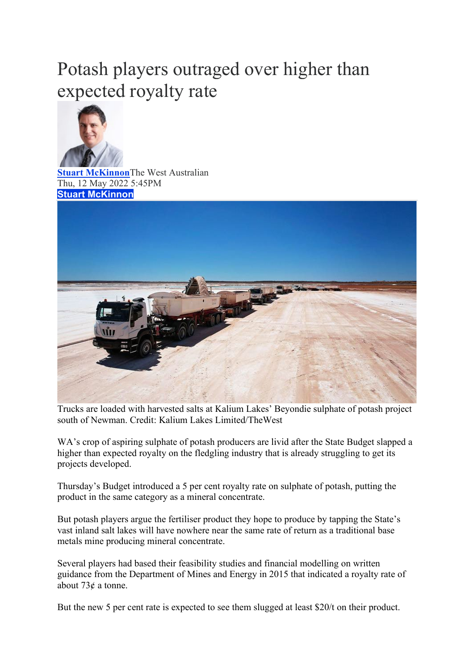## Potash players outraged over higher than expected royalty rate



**[Stuart McKinnon](https://thewest.com.au/profile/stuart-mckinnon)**The West Australian Thu, 12 May 2022 5:45PM **Stuart [McKinnon](mailto:stuart.mckinnon@wanews.com.au?subject=Website%20Enquiry%20for%20Stuart%20McKinnon&body=Dear%20Stuart%20McKinnon%2C%0A%0AIn%20reference%20to%3A%0APotash%20players%20outraged%20over%20higher%20than%20expected%20royalty%20rate%0Ahttps%3A%2F%2Fthewest.com.au%2Fbusiness%2Fmining%2Fpotash-players-outraged-over-higher-than-expected-royalty-c-6775920%0A%0APlease%20type%20your%20message%20here...)**



Trucks are loaded with harvested salts at Kalium Lakes' Beyondie sulphate of potash project south of Newman. Credit: Kalium Lakes Limited/TheWest

WA's crop of aspiring sulphate of potash producers are livid after the State Budget slapped a higher than expected royalty on the fledgling industry that is already struggling to get its projects developed.

Thursday's Budget introduced a 5 per cent royalty rate on sulphate of potash, putting the product in the same category as a mineral concentrate.

But potash players argue the fertiliser product they hope to produce by tapping the State's vast inland salt lakes will have nowhere near the same rate of return as a traditional base metals mine producing mineral concentrate.

Several players had based their feasibility studies and financial modelling on written guidance from the Department of Mines and Energy in 2015 that indicated a royalty rate of about 73¢ a tonne.

But the new 5 per cent rate is expected to see them slugged at least \$20/t on their product.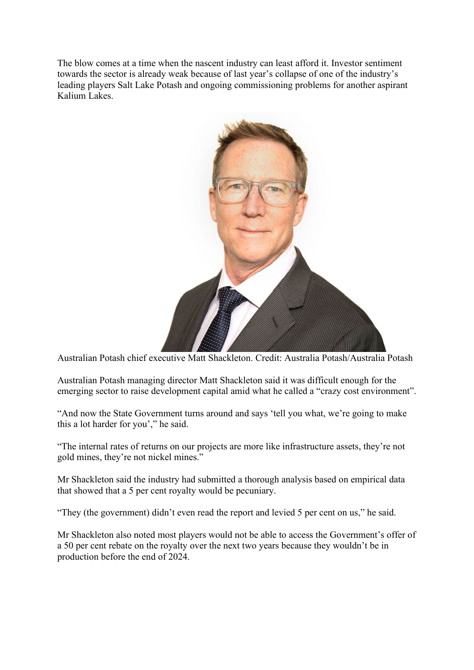The blow comes at a time when the nascent industry can least afford it. Investor sentiment towards the sector is already weak because of last year's collapse of one of the industry's leading players Salt Lake Potash and ongoing commissioning problems for another aspirant Kalium Lakes.



Australian Potash chief executive Matt Shackleton. Credit: Australia Potash/Australia Potash

Australian Potash managing director Matt Shackleton said it was difficult enough for the emerging sector to raise development capital amid what he called a "crazy cost environment".

"And now the State Government turns around and says 'tell you what, we're going to make this a lot harder for you'," he said.

"The internal rates of returns on our projects are more like infrastructure assets, they're not gold mines, they're not nickel mines."

Mr Shackleton said the industry had submitted a thorough analysis based on empirical data that showed that a 5 per cent royalty would be pecuniary.

"They (the government) didn't even read the report and levied 5 per cent on us," he said.

Mr Shackleton also noted most players would not be able to access the Government's offer of a 50 per cent rebate on the royalty over the next two years because they wouldn't be in production before the end of 2024.